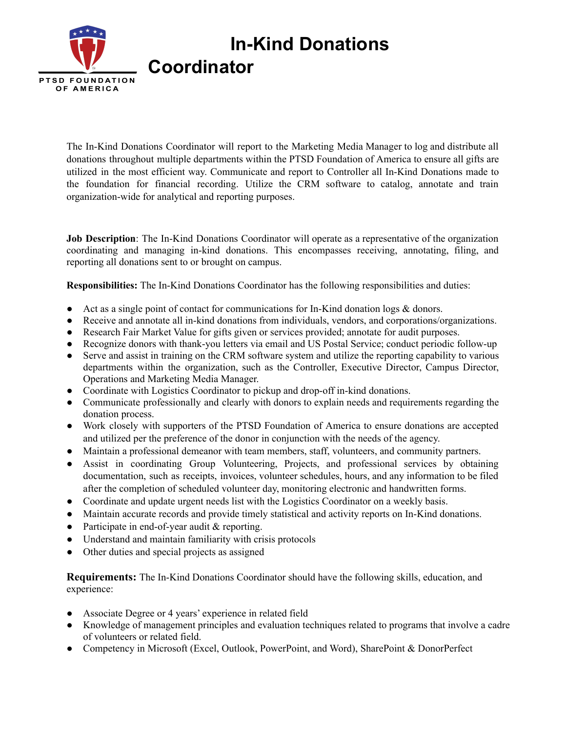

The In-Kind Donations Coordinator will report to the Marketing Media Manager to log and distribute all donations throughout multiple departments within the PTSD Foundation of America to ensure all gifts are utilized in the most efficient way. Communicate and report to Controller all In-Kind Donations made to the foundation for financial recording. Utilize the CRM software to catalog, annotate and train organization-wide for analytical and reporting purposes.

**Job Description**: The In-Kind Donations Coordinator will operate as a representative of the organization coordinating and managing in-kind donations. This encompasses receiving, annotating, filing, and reporting all donations sent to or brought on campus.

**Responsibilities:** The In-Kind Donations Coordinator has the following responsibilities and duties:

- Act as a single point of contact for communications for In-Kind donation logs & donors.
- Receive and annotate all in-kind donations from individuals, vendors, and corporations/organizations.
- Research Fair Market Value for gifts given or services provided; annotate for audit purposes.
- Recognize donors with thank-you letters via email and US Postal Service; conduct periodic follow-up
- Serve and assist in training on the CRM software system and utilize the reporting capability to various departments within the organization, such as the Controller, Executive Director, Campus Director, Operations and Marketing Media Manager.
- Coordinate with Logistics Coordinator to pickup and drop-off in-kind donations.
- Communicate professionally and clearly with donors to explain needs and requirements regarding the donation process.
- Work closely with supporters of the PTSD Foundation of America to ensure donations are accepted and utilized per the preference of the donor in conjunction with the needs of the agency.
- Maintain a professional demeanor with team members, staff, volunteers, and community partners.
- Assist in coordinating Group Volunteering, Projects, and professional services by obtaining documentation, such as receipts, invoices, volunteer schedules, hours, and any information to be filed after the completion of scheduled volunteer day, monitoring electronic and handwritten forms.
- Coordinate and update urgent needs list with the Logistics Coordinator on a weekly basis.
- Maintain accurate records and provide timely statistical and activity reports on In-Kind donations.
- Participate in end-of-year audit & reporting.
- Understand and maintain familiarity with crisis protocols
- Other duties and special projects as assigned

**Requirements:** The In-Kind Donations Coordinator should have the following skills, education, and experience:

- Associate Degree or 4 years' experience in related field
- Knowledge of management principles and evaluation techniques related to programs that involve a cadre of volunteers or related field.
- Competency in Microsoft (Excel, Outlook, PowerPoint, and Word), SharePoint & DonorPerfect